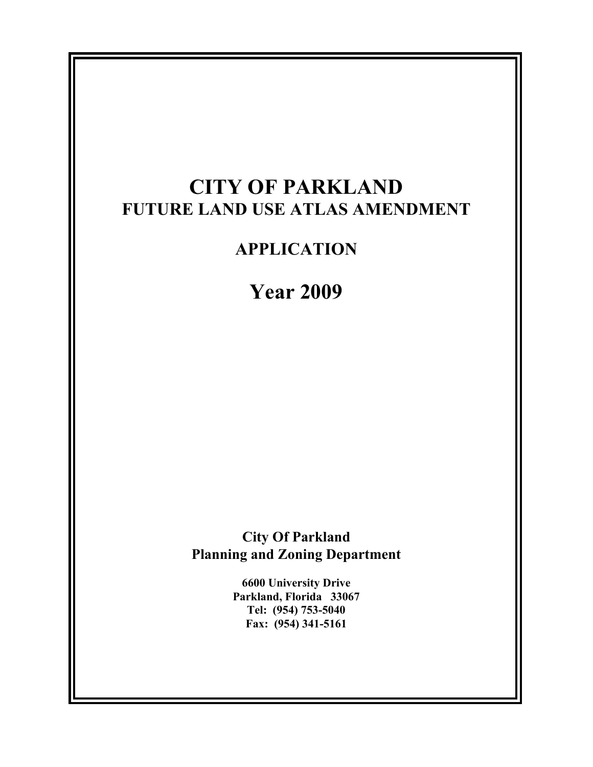# **CITY OF PARKLAND FUTURE LAND USE ATLAS AMENDMENT**

# **APPLICATION**

# **Year 2009**

**City Of Parkland Planning and Zoning Department** 

> **6600 University Drive Parkland, Florida 33067 Tel: (954) 753-5040 Fax: (954) 341-5161**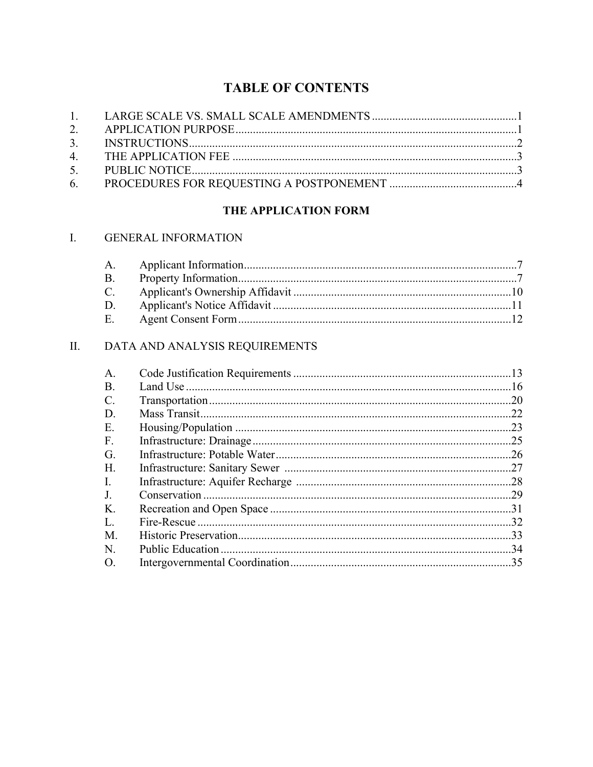## **TABLE OF CONTENTS**

### THE APPLICATION FORM

### I. GENERAL INFORMATION

| $\mathsf{A}$  |  |
|---------------|--|
|               |  |
| $\mathcal{C}$ |  |
| D             |  |
| - F -         |  |

### II. DATA AND ANALYSIS REQUIREMENTS

| $\mathsf{A}$ . | .13 |
|----------------|-----|
| Β.             |     |
| C.             | .20 |
| D              | .22 |
| Е.             | .23 |
| F.             | 25  |
| G.             | 26  |
| Н.             | 27  |
| -L             | .28 |
| $\bf{J}$       | 29  |
| Κ.             | 31  |
| L              | 32  |
| M              | 33  |
| N.             | 34  |
| $\Omega$       | .35 |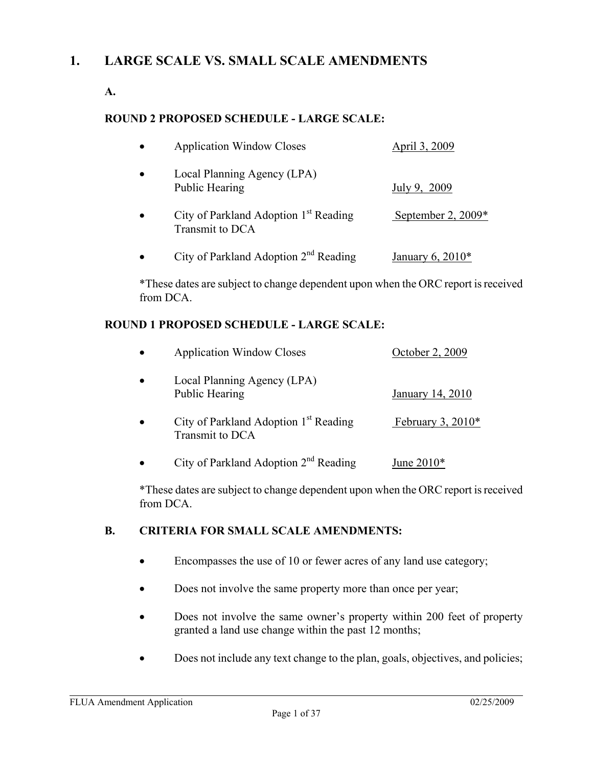## **1. LARGE SCALE VS. SMALL SCALE AMENDMENTS**

**A.** 

### **ROUND 2 PROPOSED SCHEDULE - LARGE SCALE:**

| <b>Application Window Closes</b>                                     | April 3, 2009        |
|----------------------------------------------------------------------|----------------------|
| Local Planning Agency (LPA)<br><b>Public Hearing</b>                 | July 9, 2009         |
| City of Parkland Adoption 1 <sup>st</sup> Reading<br>Transmit to DCA | September 2, $2009*$ |
| City of Parkland Adoption $2nd$ Reading                              | January 6, $2010*$   |

\*These dates are subject to change dependent upon when the ORC report is received from DCA.

### **ROUND 1 PROPOSED SCHEDULE - LARGE SCALE:**

| $\bullet$ | <b>Application Window Closes</b>                                     | October 2, 2009     |
|-----------|----------------------------------------------------------------------|---------------------|
|           | Local Planning Agency (LPA)<br>Public Hearing                        | January 14, 2010    |
| $\bullet$ | City of Parkland Adoption 1 <sup>st</sup> Reading<br>Transmit to DCA | February 3, $2010*$ |
|           | City of Parkland Adoption 2 <sup>nd</sup> Reading                    | June $2010*$        |

\*These dates are subject to change dependent upon when the ORC report is received from DCA.

### **B. CRITERIA FOR SMALL SCALE AMENDMENTS:**

- Encompasses the use of 10 or fewer acres of any land use category;
- Does not involve the same property more than once per year;
- Does not involve the same owner's property within 200 feet of property granted a land use change within the past 12 months;
- Does not include any text change to the plan, goals, objectives, and policies;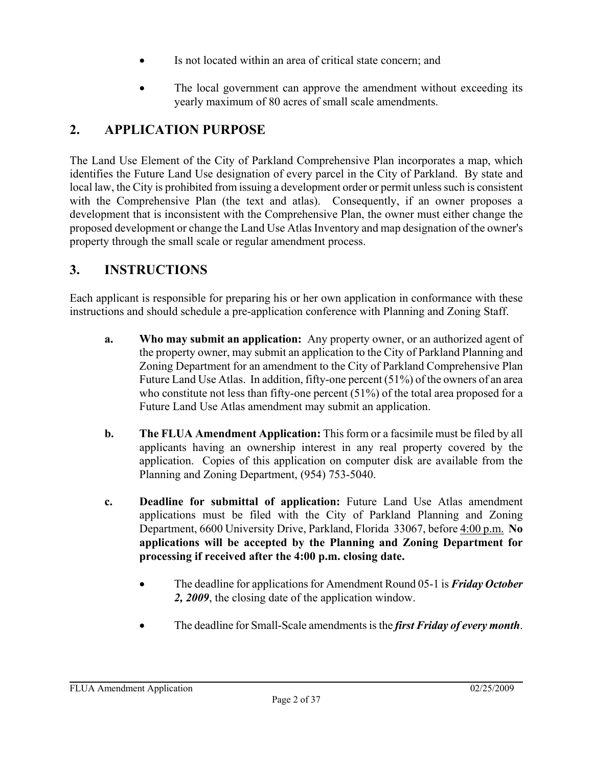- Is not located within an area of critical state concern; and
- The local government can approve the amendment without exceeding its yearly maximum of 80 acres of small scale amendments.

## **2. APPLICATION PURPOSE**

The Land Use Element of the City of Parkland Comprehensive Plan incorporates a map, which identifies the Future Land Use designation of every parcel in the City of Parkland. By state and local law, the City is prohibited from issuing a development order or permit unless such is consistent with the Comprehensive Plan (the text and atlas). Consequently, if an owner proposes a development that is inconsistent with the Comprehensive Plan, the owner must either change the proposed development or change the Land Use Atlas Inventory and map designation of the owner's property through the small scale or regular amendment process.

## **3. INSTRUCTIONS**

Each applicant is responsible for preparing his or her own application in conformance with these instructions and should schedule a pre-application conference with Planning and Zoning Staff.

- **a. Who may submit an application:** Any property owner, or an authorized agent of the property owner, may submit an application to the City of Parkland Planning and Zoning Department for an amendment to the City of Parkland Comprehensive Plan Future Land Use Atlas. In addition, fifty-one percent (51%) of the owners of an area who constitute not less than fifty-one percent (51%) of the total area proposed for a Future Land Use Atlas amendment may submit an application.
- **b. The FLUA Amendment Application:** This form or a facsimile must be filed by all applicants having an ownership interest in any real property covered by the application. Copies of this application on computer disk are available from the Planning and Zoning Department, (954) 753-5040.
- **c. Deadline for submittal of application:** Future Land Use Atlas amendment applications must be filed with the City of Parkland Planning and Zoning Department, 6600 University Drive, Parkland, Florida 33067, before 4:00 p.m. **No applications will be accepted by the Planning and Zoning Department for processing if received after the 4:00 p.m. closing date.**
	- The deadline for applications for Amendment Round 05-1 is *Friday October 2, 2009*, the closing date of the application window.
	- The deadline for Small-Scale amendments is the *first Friday of every month*.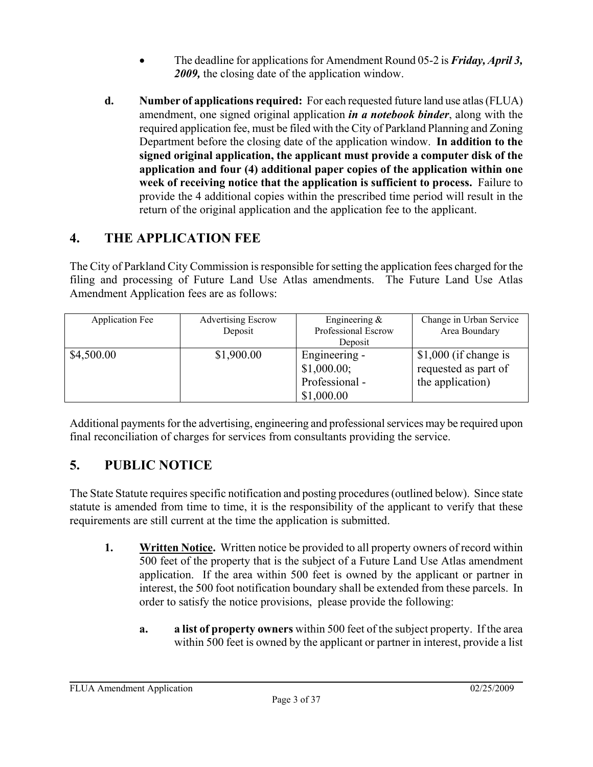- The deadline for applications for Amendment Round 05-2 is *Friday, April 3, 2009,* the closing date of the application window.
- **d. Number of applications required:** For each requested future land use atlas (FLUA) amendment, one signed original application *in a notebook binder*, along with the required application fee, must be filed with the City of Parkland Planning and Zoning Department before the closing date of the application window. **In addition to the signed original application, the applicant must provide a computer disk of the application and four (4) additional paper copies of the application within one week of receiving notice that the application is sufficient to process.** Failure to provide the 4 additional copies within the prescribed time period will result in the return of the original application and the application fee to the applicant.

## **4. THE APPLICATION FEE**

The City of Parkland City Commission is responsible for setting the application fees charged for the filing and processing of Future Land Use Atlas amendments. The Future Land Use Atlas Amendment Application fees are as follows:

| <b>Application Fee</b> | <b>Advertising Escrow</b> | Engineering $\&$    | Change in Urban Service |
|------------------------|---------------------------|---------------------|-------------------------|
|                        | Deposit                   | Professional Escrow | Area Boundary           |
|                        |                           | Deposit             |                         |
| \$4,500.00             | \$1,900.00                | Engineering -       | \$1,000 (if change is   |
|                        |                           | \$1,000.00;         | requested as part of    |
|                        |                           | Professional -      | the application)        |
|                        |                           | \$1,000.00          |                         |

Additional payments for the advertising, engineering and professional services may be required upon final reconciliation of charges for services from consultants providing the service.

## **5. PUBLIC NOTICE**

The State Statute requires specific notification and posting procedures (outlined below). Since state statute is amended from time to time, it is the responsibility of the applicant to verify that these requirements are still current at the time the application is submitted.

- **1.** Written Notice. Written notice be provided to all property owners of record within 500 feet of the property that is the subject of a Future Land Use Atlas amendment application. If the area within 500 feet is owned by the applicant or partner in interest, the 500 foot notification boundary shall be extended from these parcels. In order to satisfy the notice provisions, please provide the following:
	- **a. a list of property owners** within 500 feet of the subject property. If the area within 500 feet is owned by the applicant or partner in interest, provide a list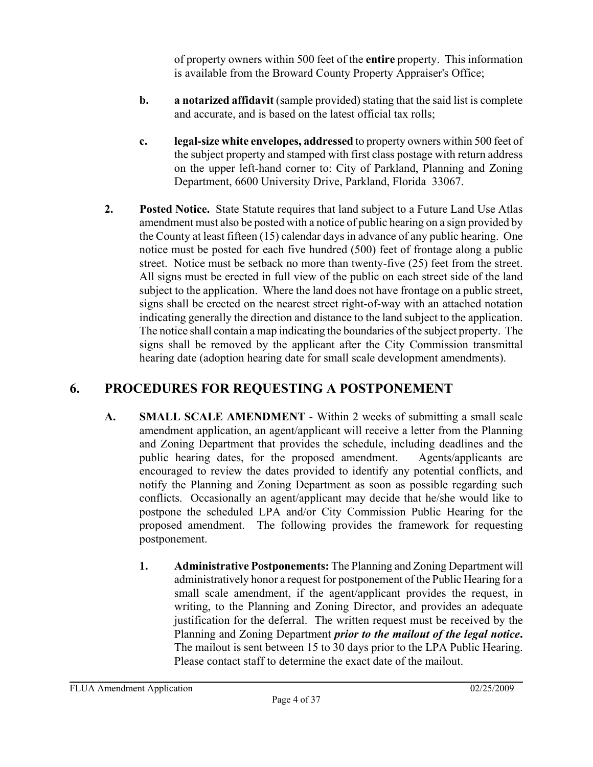of property owners within 500 feet of the **entire** property. This information is available from the Broward County Property Appraiser's Office;

- **b. a notarized affidavit** (sample provided) stating that the said list is complete and accurate, and is based on the latest official tax rolls;
- **c. legal-size white envelopes, addressed** to property owners within 500 feet of the subject property and stamped with first class postage with return address on the upper left-hand corner to: City of Parkland, Planning and Zoning Department, 6600 University Drive, Parkland, Florida 33067.
- **2. Posted Notice.** State Statute requires that land subject to a Future Land Use Atlas amendment must also be posted with a notice of public hearing on a sign provided by the County at least fifteen (15) calendar days in advance of any public hearing. One notice must be posted for each five hundred (500) feet of frontage along a public street. Notice must be setback no more than twenty-five (25) feet from the street. All signs must be erected in full view of the public on each street side of the land subject to the application. Where the land does not have frontage on a public street, signs shall be erected on the nearest street right-of-way with an attached notation indicating generally the direction and distance to the land subject to the application. The notice shall contain a map indicating the boundaries of the subject property. The signs shall be removed by the applicant after the City Commission transmittal hearing date (adoption hearing date for small scale development amendments).

## **6. PROCEDURES FOR REQUESTING A POSTPONEMENT**

- **A. SMALL SCALE AMENDMENT** Within 2 weeks of submitting a small scale amendment application, an agent/applicant will receive a letter from the Planning and Zoning Department that provides the schedule, including deadlines and the public hearing dates, for the proposed amendment. Agents/applicants are encouraged to review the dates provided to identify any potential conflicts, and notify the Planning and Zoning Department as soon as possible regarding such conflicts. Occasionally an agent/applicant may decide that he/she would like to postpone the scheduled LPA and/or City Commission Public Hearing for the proposed amendment. The following provides the framework for requesting postponement.
	- **1. Administrative Postponements:** The Planning and Zoning Department will administratively honor a request for postponement of the Public Hearing for a small scale amendment, if the agent/applicant provides the request, in writing, to the Planning and Zoning Director, and provides an adequate justification for the deferral. The written request must be received by the Planning and Zoning Department *prior to the mailout of the legal notice***.**  The mailout is sent between 15 to 30 days prior to the LPA Public Hearing. Please contact staff to determine the exact date of the mailout.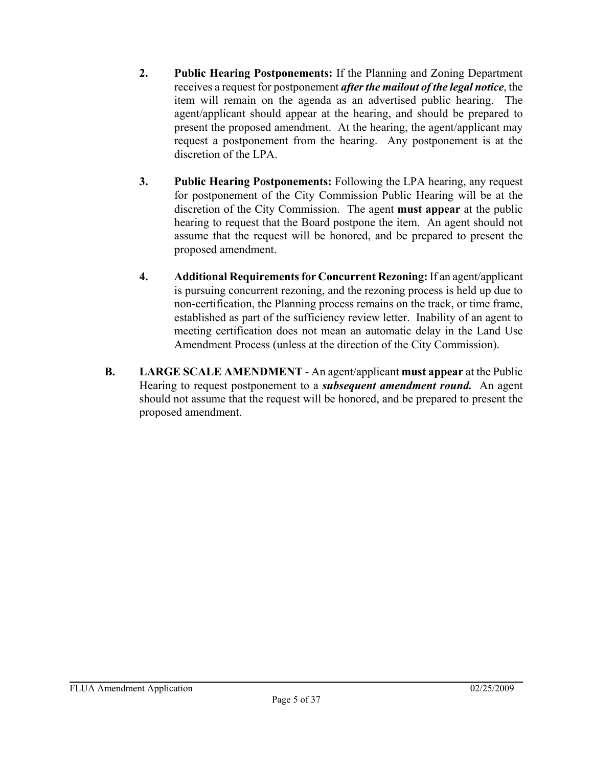- **2. Public Hearing Postponements:** If the Planning and Zoning Department receives a request for postponement *after the mailout of the legal notice*, the item will remain on the agenda as an advertised public hearing. The agent/applicant should appear at the hearing, and should be prepared to present the proposed amendment. At the hearing, the agent/applicant may request a postponement from the hearing. Any postponement is at the discretion of the LPA.
- **3. Public Hearing Postponements:** Following the LPA hearing, any request for postponement of the City Commission Public Hearing will be at the discretion of the City Commission. The agent **must appear** at the public hearing to request that the Board postpone the item. An agent should not assume that the request will be honored, and be prepared to present the proposed amendment.
- **4. Additional Requirements for Concurrent Rezoning:** If an agent/applicant is pursuing concurrent rezoning, and the rezoning process is held up due to non-certification, the Planning process remains on the track, or time frame, established as part of the sufficiency review letter. Inability of an agent to meeting certification does not mean an automatic delay in the Land Use Amendment Process (unless at the direction of the City Commission).
- **B. LARGE SCALE AMENDMENT** An agent/applicant **must appear** at the Public Hearing to request postponement to a *subsequent amendment round.* An agent should not assume that the request will be honored, and be prepared to present the proposed amendment.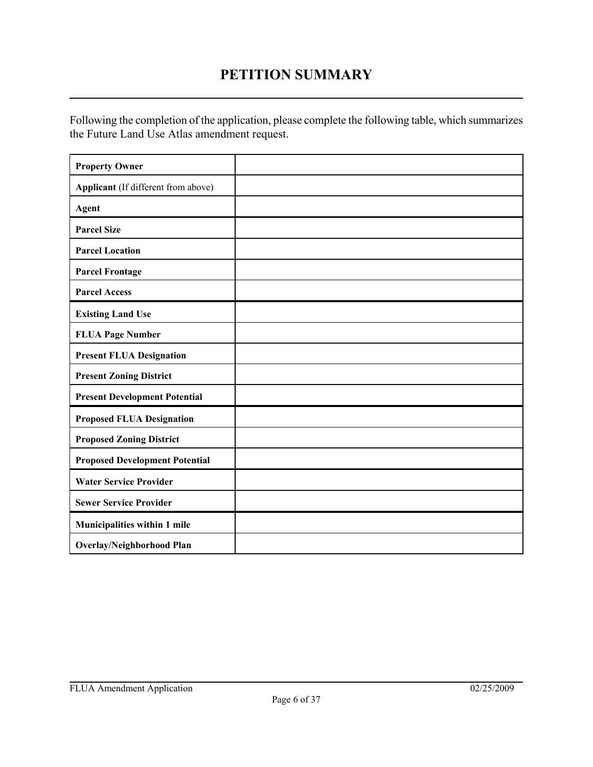## **PETITION SUMMARY**

Following the completion of the application, please complete the following table, which summarizes the Future Land Use Atlas amendment request.

| <b>Property Owner</b>                 |  |
|---------------------------------------|--|
| Applicant (If different from above)   |  |
| Agent                                 |  |
| <b>Parcel Size</b>                    |  |
| <b>Parcel Location</b>                |  |
| <b>Parcel Frontage</b>                |  |
| <b>Parcel Access</b>                  |  |
| <b>Existing Land Use</b>              |  |
| <b>FLUA Page Number</b>               |  |
| <b>Present FLUA Designation</b>       |  |
| <b>Present Zoning District</b>        |  |
| <b>Present Development Potential</b>  |  |
| <b>Proposed FLUA Designation</b>      |  |
| <b>Proposed Zoning District</b>       |  |
| <b>Proposed Development Potential</b> |  |
| <b>Water Service Provider</b>         |  |
| <b>Sewer Service Provider</b>         |  |
| Municipalities within 1 mile          |  |
| <b>Overlay/Neighborhood Plan</b>      |  |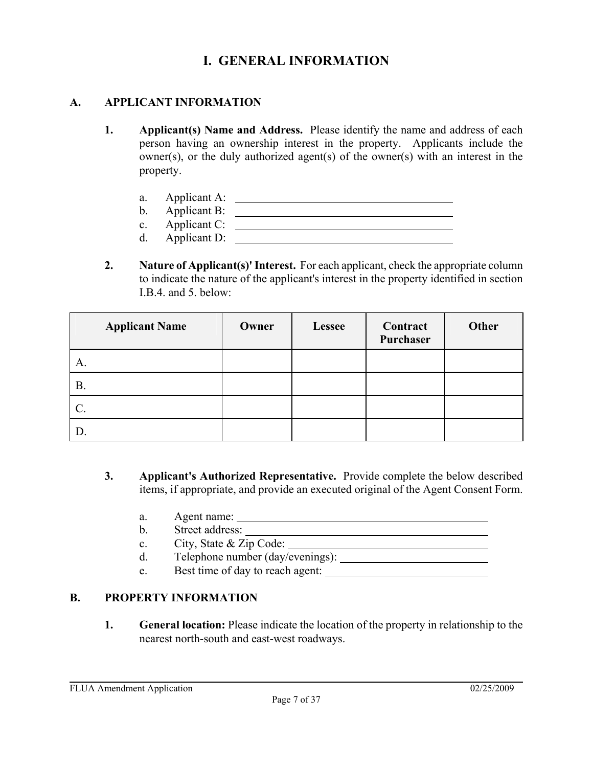## **I. GENERAL INFORMATION**

#### **A. APPLICANT INFORMATION**

- **1. Applicant(s) Name and Address.** Please identify the name and address of each person having an ownership interest in the property. Applicants include the owner(s), or the duly authorized agent(s) of the owner(s) with an interest in the property.
	- a. Applicant A:
	- b. Applicant B:
	- c. Applicant C:
	- d. Applicant D:
- **2. Nature of Applicant(s)' Interest.** For each applicant, check the appropriate column to indicate the nature of the applicant's interest in the property identified in section I.B.4. and 5. below:

| <b>Applicant Name</b> | Owner | <b>Lessee</b> | Contract<br>Purchaser | Other |
|-----------------------|-------|---------------|-----------------------|-------|
| A.                    |       |               |                       |       |
| <b>B.</b>             |       |               |                       |       |
| $\mathcal{C}$ .       |       |               |                       |       |
| D.                    |       |               |                       |       |

- **3. Applicant's Authorized Representative.** Provide complete the below described items, if appropriate, and provide an executed original of the Agent Consent Form.
	- a. Agent name:
	- b. Street address:
	- c. City, State & Zip Code:
	- d. Telephone number (day/evenings):
	- e. Best time of day to reach agent:

### **B. PROPERTY INFORMATION**

**1. General location:** Please indicate the location of the property in relationship to the nearest north-south and east-west roadways.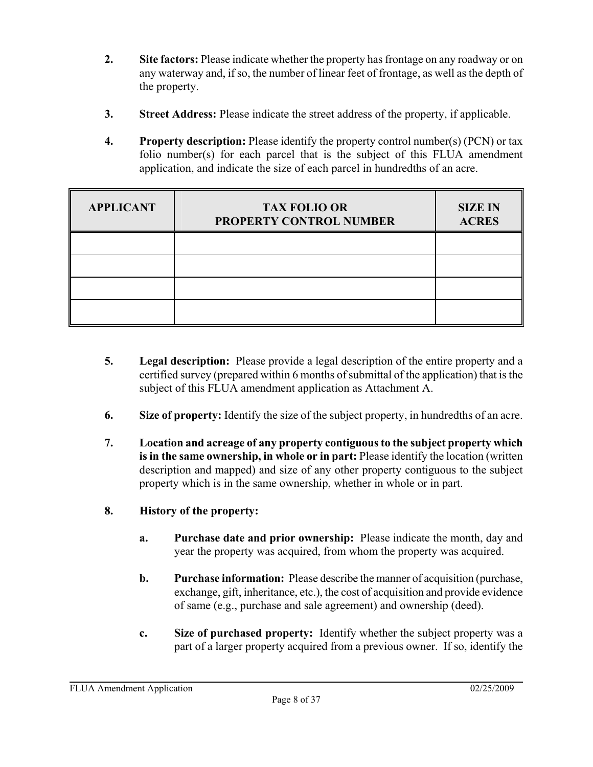- **2. Site factors:** Please indicate whether the property has frontage on any roadway or on any waterway and, if so, the number of linear feet of frontage, as well as the depth of the property.
- **3. Street Address:** Please indicate the street address of the property, if applicable.
- **4. Property description:** Please identify the property control number(s) (PCN) or tax folio number(s) for each parcel that is the subject of this FLUA amendment application, and indicate the size of each parcel in hundredths of an acre.

| <b>APPLICANT</b> | <b>TAX FOLIO OR</b><br>PROPERTY CONTROL NUMBER | <b>SIZE IN</b><br><b>ACRES</b> |
|------------------|------------------------------------------------|--------------------------------|
|                  |                                                |                                |
|                  |                                                |                                |
|                  |                                                |                                |
|                  |                                                |                                |

- **5. Legal description:** Please provide a legal description of the entire property and a certified survey (prepared within 6 months of submittal of the application) that is the subject of this FLUA amendment application as Attachment A.
- **6. Size of property:** Identify the size of the subject property, in hundredths of an acre.
- **7. Location and acreage of any property contiguous to the subject property which is in the same ownership, in whole or in part:** Please identify the location (written description and mapped) and size of any other property contiguous to the subject property which is in the same ownership, whether in whole or in part.
- **8. History of the property:**
	- **a. Purchase date and prior ownership:** Please indicate the month, day and year the property was acquired, from whom the property was acquired.
	- **b. Purchase information:** Please describe the manner of acquisition (purchase, exchange, gift, inheritance, etc.), the cost of acquisition and provide evidence of same (e.g., purchase and sale agreement) and ownership (deed).
	- **c. Size of purchased property:** Identify whether the subject property was a part of a larger property acquired from a previous owner. If so, identify the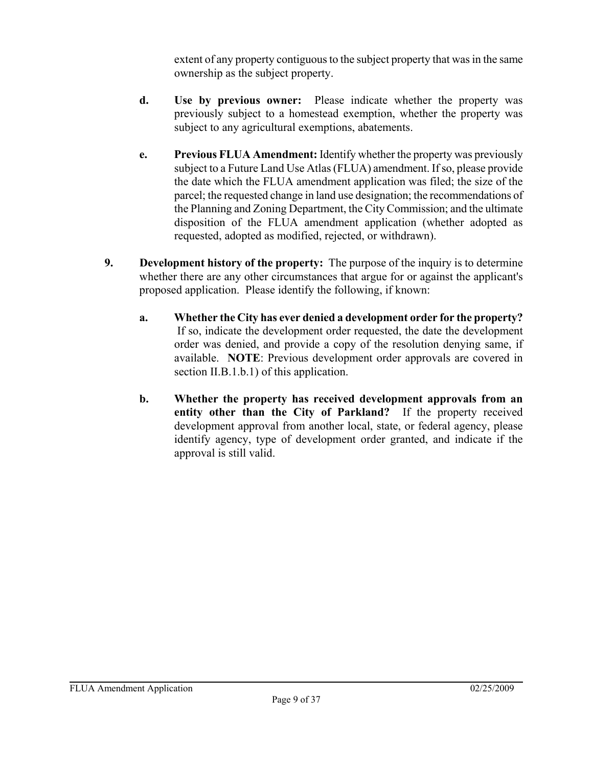extent of any property contiguous to the subject property that was in the same ownership as the subject property.

- **d. Use by previous owner:** Please indicate whether the property was previously subject to a homestead exemption, whether the property was subject to any agricultural exemptions, abatements.
- **e. Previous FLUA Amendment:** Identify whether the property was previously subject to a Future Land Use Atlas (FLUA) amendment. If so, please provide the date which the FLUA amendment application was filed; the size of the parcel; the requested change in land use designation; the recommendations of the Planning and Zoning Department, the City Commission; and the ultimate disposition of the FLUA amendment application (whether adopted as requested, adopted as modified, rejected, or withdrawn).
- **9. Development history of the property:** The purpose of the inquiry is to determine whether there are any other circumstances that argue for or against the applicant's proposed application. Please identify the following, if known:
	- **a. Whether the City has ever denied a development order for the property?** If so, indicate the development order requested, the date the development order was denied, and provide a copy of the resolution denying same, if available. **NOTE**: Previous development order approvals are covered in section II.B.1.b.1) of this application.
	- **b. Whether the property has received development approvals from an entity other than the City of Parkland?** If the property received development approval from another local, state, or federal agency, please identify agency, type of development order granted, and indicate if the approval is still valid.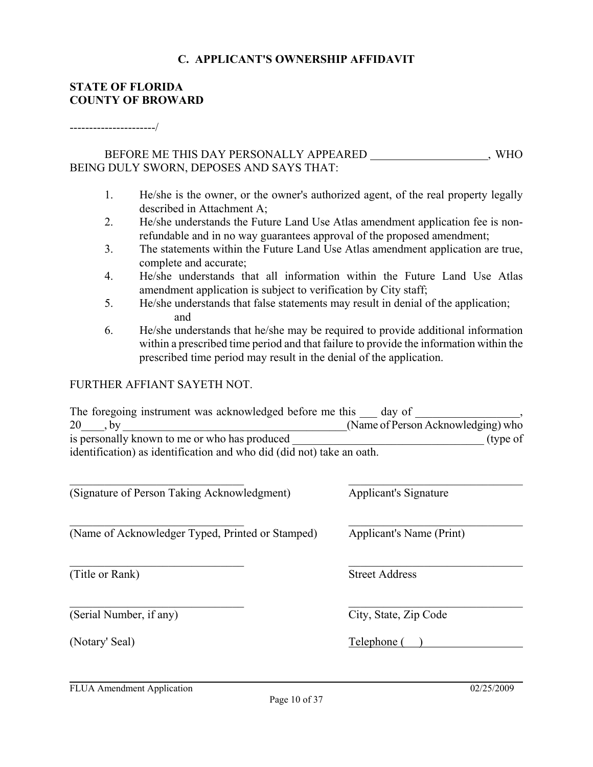#### **C. APPLICANT'S OWNERSHIP AFFIDAVIT**

#### **STATE OF FLORIDA COUNTY OF BROWARD**

#### ----------------------/

#### BEFORE ME THIS DAY PERSONALLY APPEARED \_\_\_\_\_\_\_\_\_\_\_\_\_\_\_\_, WHO BEING DULY SWORN, DEPOSES AND SAYS THAT:

- 1. He/she is the owner, or the owner's authorized agent, of the real property legally described in Attachment A;
- 2. He/she understands the Future Land Use Atlas amendment application fee is nonrefundable and in no way guarantees approval of the proposed amendment;
- 3. The statements within the Future Land Use Atlas amendment application are true, complete and accurate;
- 4. He/she understands that all information within the Future Land Use Atlas amendment application is subject to verification by City staff;
- 5. He/she understands that false statements may result in denial of the application; and
- 6. He/she understands that he/she may be required to provide additional information within a prescribed time period and that failure to provide the information within the prescribed time period may result in the denial of the application.

#### FURTHER AFFIANT SAYETH NOT.

| The foregoing instrument was acknowledged before me this              | day of                             |
|-----------------------------------------------------------------------|------------------------------------|
| 20                                                                    | (Name of Person Acknowledging) who |
| is personally known to me or who has produced                         | (type of                           |
| identification) as identification and who did (did not) take an oath. |                                    |

| (Signature of Person Taking Acknowledgment)      | Applicant's Signature    |
|--------------------------------------------------|--------------------------|
| (Name of Acknowledger Typed, Printed or Stamped) | Applicant's Name (Print) |
| (Title or Rank)                                  | <b>Street Address</b>    |
| (Serial Number, if any)                          | City, State, Zip Code    |
| (Notary' Seal)                                   | Telephone                |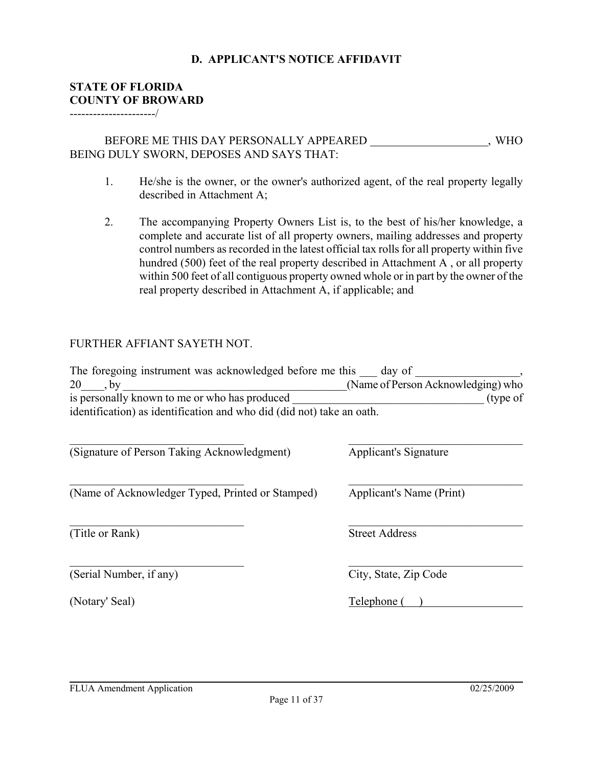#### **D. APPLICANT'S NOTICE AFFIDAVIT**

#### **STATE OF FLORIDA COUNTY OF BROWARD**

----------------------/

#### BEFORE ME THIS DAY PERSONALLY APPEARED \_\_\_\_\_\_\_\_\_\_\_\_\_\_\_\_, WHO BEING DULY SWORN, DEPOSES AND SAYS THAT:

- 1. He/she is the owner, or the owner's authorized agent, of the real property legally described in Attachment A;
- 2. The accompanying Property Owners List is, to the best of his/her knowledge, a complete and accurate list of all property owners, mailing addresses and property control numbers as recorded in the latest official tax rolls for all property within five hundred (500) feet of the real property described in Attachment A , or all property within 500 feet of all contiguous property owned whole or in part by the owner of the real property described in Attachment A, if applicable; and

#### FURTHER AFFIANT SAYETH NOT.

| The foregoing instrument was acknowledged before me this day of       |                                    |
|-----------------------------------------------------------------------|------------------------------------|
| 20<br>, by                                                            | (Name of Person Acknowledging) who |
| is personally known to me or who has produced                         | (type of                           |
| identification) as identification and who did (did not) take an oath. |                                    |
|                                                                       |                                    |
| (Signature of Person Taking Acknowledgment)                           | Applicant's Signature              |
| (Name of Acknowledger Typed, Printed or Stamped)                      | Applicant's Name (Print)           |
| (Title or Rank)                                                       | <b>Street Address</b>              |
| (Serial Number, if any)                                               | City, State, Zip Code              |

(Notary' Seal) Telephone ( )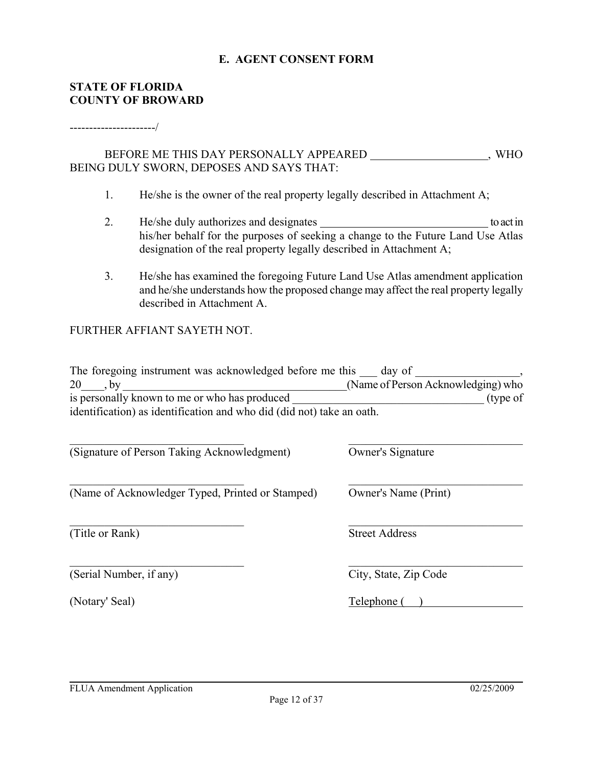#### **E. AGENT CONSENT FORM**

#### **STATE OF FLORIDA COUNTY OF BROWARD**

#### ----------------------/

#### BEFORE ME THIS DAY PERSONALLY APPEARED \_\_\_\_\_\_\_\_\_\_\_\_\_\_\_\_, WHO BEING DULY SWORN, DEPOSES AND SAYS THAT:

- 1. He/she is the owner of the real property legally described in Attachment A;
- 2. He/she duly authorizes and designates the state of the state to act in his/her behalf for the purposes of seeking a change to the Future Land Use Atlas designation of the real property legally described in Attachment A;
- 3. He/she has examined the foregoing Future Land Use Atlas amendment application and he/she understands how the proposed change may affect the real property legally described in Attachment A.

#### FURTHER AFFIANT SAYETH NOT.

| The foregoing instrument was acknowledged before me this              | day of                             |
|-----------------------------------------------------------------------|------------------------------------|
| 20                                                                    | (Name of Person Acknowledging) who |
| is personally known to me or who has produced                         | (type of                           |
| identification) as identification and who did (did not) take an oath. |                                    |
|                                                                       |                                    |
|                                                                       |                                    |

 $\_$  , and the contribution of the contribution of  $\mathcal{L}_\mathcal{A}$  , and the contribution of  $\mathcal{L}_\mathcal{A}$ 

 $\_$  , and the contribution of the contribution of  $\mathcal{L}_\mathcal{A}$  , and the contribution of  $\mathcal{L}_\mathcal{A}$ 

 $\_$  , and the contribution of the contribution of  $\mathcal{L}_\mathcal{A}$  , and the contribution of  $\mathcal{L}_\mathcal{A}$ 

(Signature of Person Taking Acknowledgment) Owner's Signature

(Name of Acknowledger Typed, Printed or Stamped) Owner's Name (Print)

(Title or Rank) Street Address

(Serial Number, if any) City, State, Zip Code

(Notary' Seal) Telephone ( )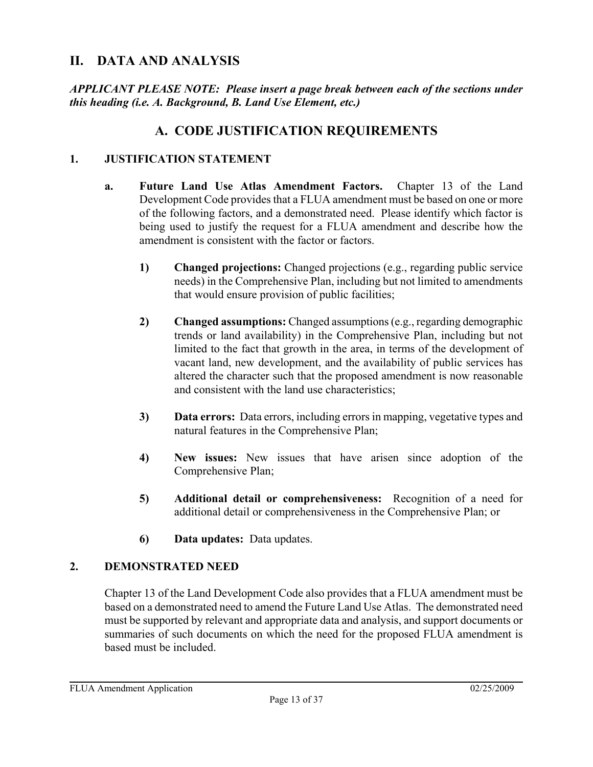## **II. DATA AND ANALYSIS**

*APPLICANT PLEASE NOTE: Please insert a page break between each of the sections under this heading (i.e. A. Background, B. Land Use Element, etc.)*

## **A. CODE JUSTIFICATION REQUIREMENTS**

#### **1. JUSTIFICATION STATEMENT**

- **a. Future Land Use Atlas Amendment Factors.** Chapter 13 of the Land Development Code provides that a FLUA amendment must be based on one or more of the following factors, and a demonstrated need. Please identify which factor is being used to justify the request for a FLUA amendment and describe how the amendment is consistent with the factor or factors.
	- **1) Changed projections:** Changed projections (e.g., regarding public service needs) in the Comprehensive Plan, including but not limited to amendments that would ensure provision of public facilities;
	- **2) Changed assumptions:** Changed assumptions (e.g., regarding demographic trends or land availability) in the Comprehensive Plan, including but not limited to the fact that growth in the area, in terms of the development of vacant land, new development, and the availability of public services has altered the character such that the proposed amendment is now reasonable and consistent with the land use characteristics;
	- **3) Data errors:** Data errors, including errors in mapping, vegetative types and natural features in the Comprehensive Plan;
	- **4) New issues:** New issues that have arisen since adoption of the Comprehensive Plan;
	- **5) Additional detail or comprehensiveness:** Recognition of a need for additional detail or comprehensiveness in the Comprehensive Plan; or
	- **6) Data updates:** Data updates.

#### **2. DEMONSTRATED NEED**

Chapter 13 of the Land Development Code also provides that a FLUA amendment must be based on a demonstrated need to amend the Future Land Use Atlas. The demonstrated need must be supported by relevant and appropriate data and analysis, and support documents or summaries of such documents on which the need for the proposed FLUA amendment is based must be included.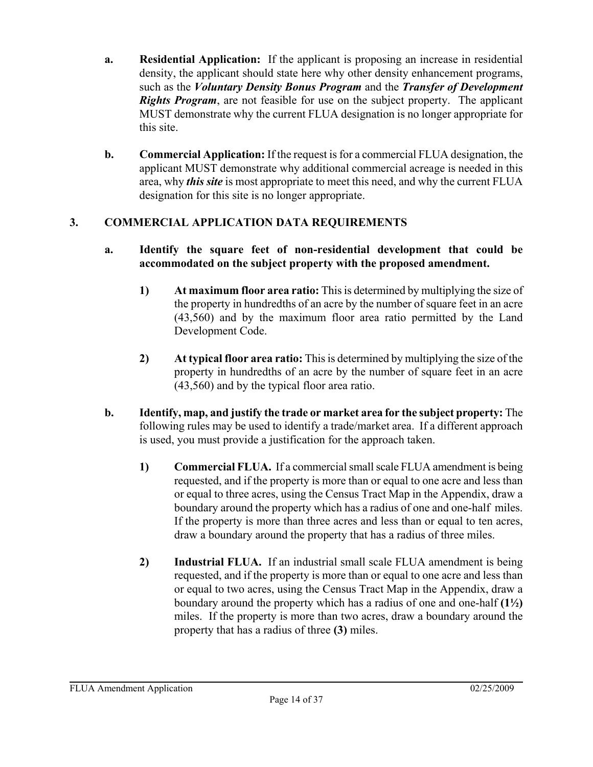- **a. Residential Application:** If the applicant is proposing an increase in residential density, the applicant should state here why other density enhancement programs, such as the *Voluntary Density Bonus Program* and the *Transfer of Development Rights Program*, are not feasible for use on the subject property. The applicant MUST demonstrate why the current FLUA designation is no longer appropriate for this site.
- **b. Commercial Application:** If the request is for a commercial FLUA designation, the applicant MUST demonstrate why additional commercial acreage is needed in this area, why *this site* is most appropriate to meet this need, and why the current FLUA designation for this site is no longer appropriate.

### **3. COMMERCIAL APPLICATION DATA REQUIREMENTS**

#### **a. Identify the square feet of non-residential development that could be accommodated on the subject property with the proposed amendment.**

- **1) At maximum floor area ratio:** This is determined by multiplying the size of the property in hundredths of an acre by the number of square feet in an acre (43,560) and by the maximum floor area ratio permitted by the Land Development Code.
- **2) At typical floor area ratio:** This is determined by multiplying the size of the property in hundredths of an acre by the number of square feet in an acre (43,560) and by the typical floor area ratio.
- **b. Identify, map, and justify the trade or market area for the subject property:** The following rules may be used to identify a trade/market area. If a different approach is used, you must provide a justification for the approach taken.
	- **1) Commercial FLUA.** If a commercial small scale FLUA amendment is being requested, and if the property is more than or equal to one acre and less than or equal to three acres, using the Census Tract Map in the Appendix, draw a boundary around the property which has a radius of one and one-half miles. If the property is more than three acres and less than or equal to ten acres, draw a boundary around the property that has a radius of three miles.
	- **2) Industrial FLUA.** If an industrial small scale FLUA amendment is being requested, and if the property is more than or equal to one acre and less than or equal to two acres, using the Census Tract Map in the Appendix, draw a boundary around the property which has a radius of one and one-half **(1½)** miles. If the property is more than two acres, draw a boundary around the property that has a radius of three **(3)** miles.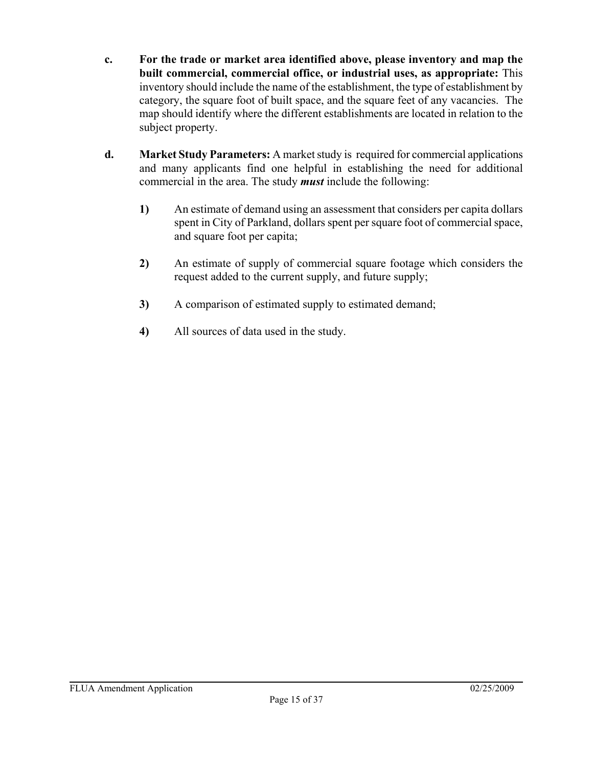- **c. For the trade or market area identified above, please inventory and map the built commercial, commercial office, or industrial uses, as appropriate:** This inventory should include the name of the establishment, the type of establishment by category, the square foot of built space, and the square feet of any vacancies. The map should identify where the different establishments are located in relation to the subject property.
- **d. Market Study Parameters:** A market study is required for commercial applications and many applicants find one helpful in establishing the need for additional commercial in the area. The study *must* include the following:
	- **1)** An estimate of demand using an assessment that considers per capita dollars spent in City of Parkland, dollars spent per square foot of commercial space, and square foot per capita;
	- **2)** An estimate of supply of commercial square footage which considers the request added to the current supply, and future supply;
	- **3)** A comparison of estimated supply to estimated demand;
	- **4)** All sources of data used in the study.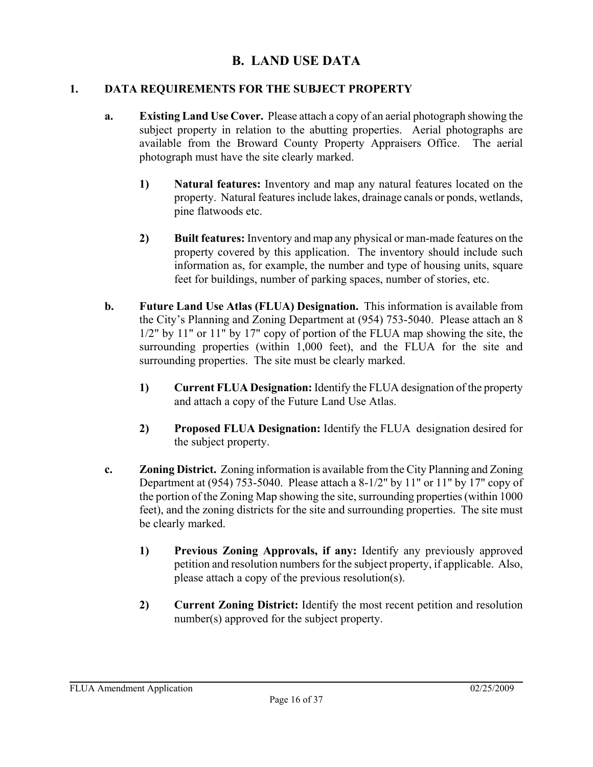## **B. LAND USE DATA**

### **1. DATA REQUIREMENTS FOR THE SUBJECT PROPERTY**

- **a. Existing Land Use Cover.** Please attach a copy of an aerial photograph showing the subject property in relation to the abutting properties. Aerial photographs are available from the Broward County Property Appraisers Office. The aerial photograph must have the site clearly marked.
	- **1) Natural features:** Inventory and map any natural features located on the property. Natural features include lakes, drainage canals or ponds, wetlands, pine flatwoods etc.
	- **2) Built features:** Inventory and map any physical or man-made features on the property covered by this application. The inventory should include such information as, for example, the number and type of housing units, square feet for buildings, number of parking spaces, number of stories, etc.
- **b. Future Land Use Atlas (FLUA) Designation.** This information is available from the City's Planning and Zoning Department at (954) 753-5040. Please attach an 8 1/2" by 11" or 11" by 17" copy of portion of the FLUA map showing the site, the surrounding properties (within 1,000 feet), and the FLUA for the site and surrounding properties. The site must be clearly marked.
	- **1) Current FLUA Designation:** Identify the FLUA designation of the property and attach a copy of the Future Land Use Atlas.
	- **2) Proposed FLUA Designation:** Identify the FLUA designation desired for the subject property.
- **c. Zoning District.** Zoning information is available from the City Planning and Zoning Department at (954) 753-5040. Please attach a 8-1/2" by 11" or 11" by 17" copy of the portion of the Zoning Map showing the site, surrounding properties (within 1000 feet), and the zoning districts for the site and surrounding properties. The site must be clearly marked.
	- **1) Previous Zoning Approvals, if any:** Identify any previously approved petition and resolution numbers for the subject property, if applicable. Also, please attach a copy of the previous resolution(s).
	- **2) Current Zoning District:** Identify the most recent petition and resolution number(s) approved for the subject property.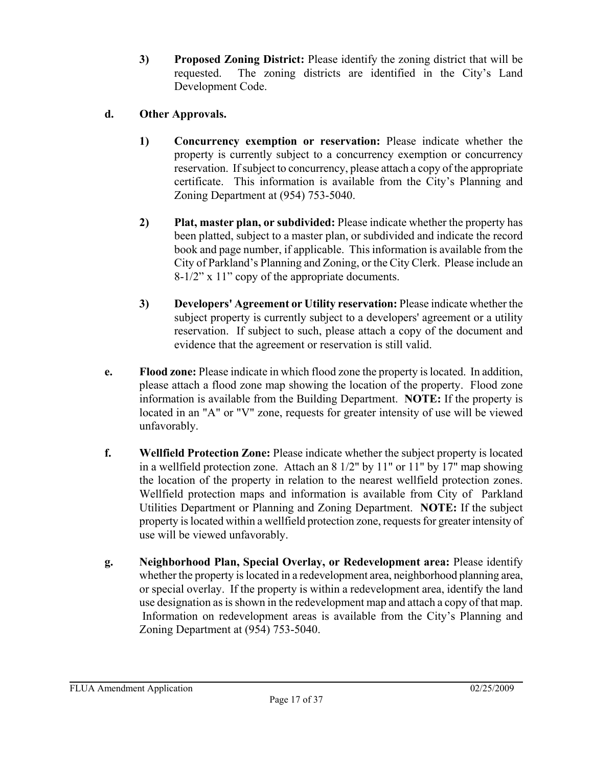**3) Proposed Zoning District:** Please identify the zoning district that will be requested. The zoning districts are identified in the City's Land Development Code.

### **d. Other Approvals.**

- **1) Concurrency exemption or reservation:** Please indicate whether the property is currently subject to a concurrency exemption or concurrency reservation. If subject to concurrency, please attach a copy of the appropriate certificate. This information is available from the City's Planning and Zoning Department at (954) 753-5040.
- **2) Plat, master plan, or subdivided:** Please indicate whether the property has been platted, subject to a master plan, or subdivided and indicate the record book and page number, if applicable. This information is available from the City of Parkland's Planning and Zoning, or the City Clerk. Please include an 8-1/2" x 11" copy of the appropriate documents.
- **3) Developers' Agreement or Utility reservation:** Please indicate whether the subject property is currently subject to a developers' agreement or a utility reservation. If subject to such, please attach a copy of the document and evidence that the agreement or reservation is still valid.
- **e. Flood zone:** Please indicate in which flood zone the property is located. In addition, please attach a flood zone map showing the location of the property. Flood zone information is available from the Building Department. **NOTE:** If the property is located in an "A" or "V" zone, requests for greater intensity of use will be viewed unfavorably.
- **f. Wellfield Protection Zone:** Please indicate whether the subject property is located in a wellfield protection zone. Attach an 8 1/2" by 11" or 11" by 17" map showing the location of the property in relation to the nearest wellfield protection zones. Wellfield protection maps and information is available from City of Parkland Utilities Department or Planning and Zoning Department. **NOTE:** If the subject property is located within a wellfield protection zone, requests for greater intensity of use will be viewed unfavorably.
- **g. Neighborhood Plan, Special Overlay, or Redevelopment area:** Please identify whether the property is located in a redevelopment area, neighborhood planning area, or special overlay. If the property is within a redevelopment area, identify the land use designation as is shown in the redevelopment map and attach a copy of that map. Information on redevelopment areas is available from the City's Planning and Zoning Department at (954) 753-5040.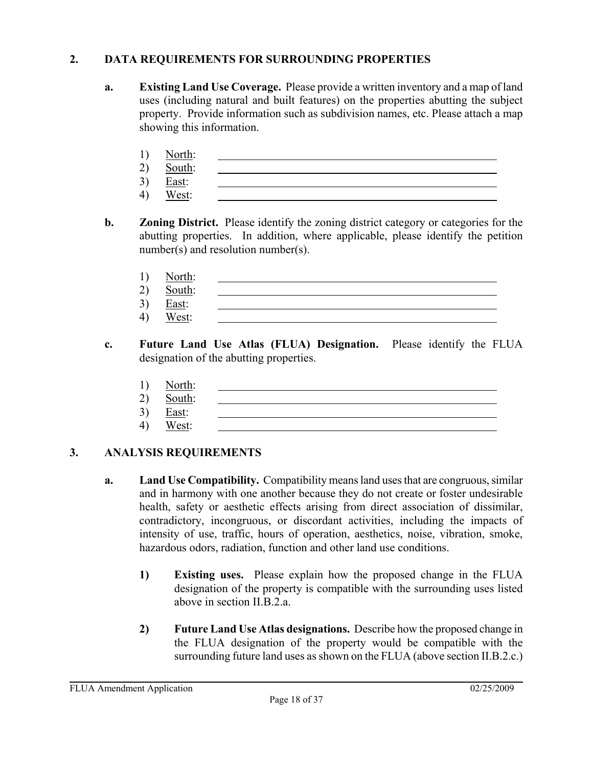### **2. DATA REQUIREMENTS FOR SURROUNDING PROPERTIES**

- **a. Existing Land Use Coverage.** Please provide a written inventory and a map of land uses (including natural and built features) on the properties abutting the subject property. Provide information such as subdivision names, etc. Please attach a map showing this information.
	- 1) North:
	- 2) South: 3) East:
	- 4) West:
- **b. Zoning District.** Please identify the zoning district category or categories for the abutting properties. In addition, where applicable, please identify the petition number(s) and resolution number(s).
	- 1) North:
	- 2) South:
	- 3) East:
	- 4) West:
- **c. Future Land Use Atlas (FLUA) Designation.** Please identify the FLUA designation of the abutting properties.
	- 1) North:
	- 2) South:
	- 3) East:
	- 4) West:

- **a. Land Use Compatibility.** Compatibility means land uses that are congruous, similar and in harmony with one another because they do not create or foster undesirable health, safety or aesthetic effects arising from direct association of dissimilar, contradictory, incongruous, or discordant activities, including the impacts of intensity of use, traffic, hours of operation, aesthetics, noise, vibration, smoke, hazardous odors, radiation, function and other land use conditions.
	- **1) Existing uses.** Please explain how the proposed change in the FLUA designation of the property is compatible with the surrounding uses listed above in section II.B.2.a.
	- **2) Future Land Use Atlas designations.** Describe how the proposed change in the FLUA designation of the property would be compatible with the surrounding future land uses as shown on the FLUA (above section II.B.2.c.)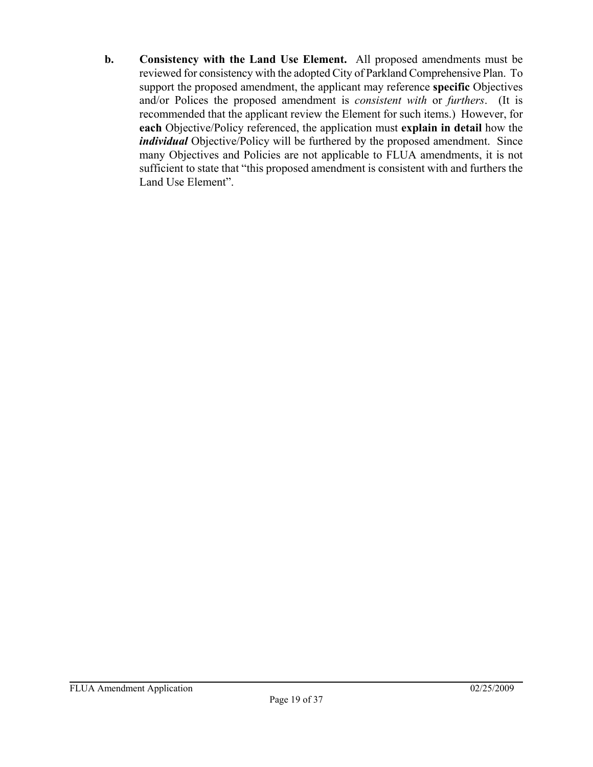**b. Consistency with the Land Use Element.** All proposed amendments must be reviewed for consistency with the adopted City of Parkland Comprehensive Plan. To support the proposed amendment, the applicant may reference **specific** Objectives and/or Polices the proposed amendment is *consistent with* or *furthers*. (It is recommended that the applicant review the Element for such items.) However, for **each** Objective/Policy referenced, the application must **explain in detail** how the *individual* Objective/Policy will be furthered by the proposed amendment. Since many Objectives and Policies are not applicable to FLUA amendments, it is not sufficient to state that "this proposed amendment is consistent with and furthers the Land Use Element".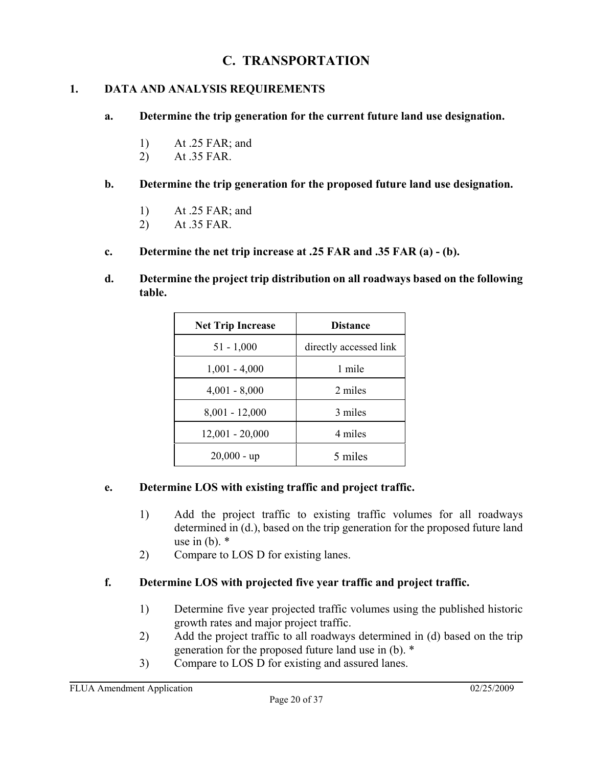## **C. TRANSPORTATION**

### **1. DATA AND ANALYSIS REQUIREMENTS**

- **a. Determine the trip generation for the current future land use designation.**
	- 1) At .25 FAR; and
	- 2) At .35 FAR.
- **b. Determine the trip generation for the proposed future land use designation.**
	- 1) At .25 FAR; and
	- 2) At .35 FAR.
- **c. Determine the net trip increase at .25 FAR and .35 FAR (a) (b).**
- **d. Determine the project trip distribution on all roadways based on the following table.**

| <b>Net Trip Increase</b> | <b>Distance</b>        |
|--------------------------|------------------------|
| $51 - 1,000$             | directly accessed link |
| $1,001 - 4,000$          | 1 mile                 |
| $4,001 - 8,000$          | 2 miles                |
| $8,001 - 12,000$         | 3 miles                |
| $12,001 - 20,000$        | 4 miles                |
| $20,000 - up$            | 5 miles                |

### **e. Determine LOS with existing traffic and project traffic.**

- 1) Add the project traffic to existing traffic volumes for all roadways determined in (d.), based on the trip generation for the proposed future land use in  $(b)$ .  $*$
- 2) Compare to LOS D for existing lanes.

### **f. Determine LOS with projected five year traffic and project traffic.**

- 1) Determine five year projected traffic volumes using the published historic growth rates and major project traffic.
- 2) Add the project traffic to all roadways determined in (d) based on the trip generation for the proposed future land use in (b). \*
- 3) Compare to LOS D for existing and assured lanes.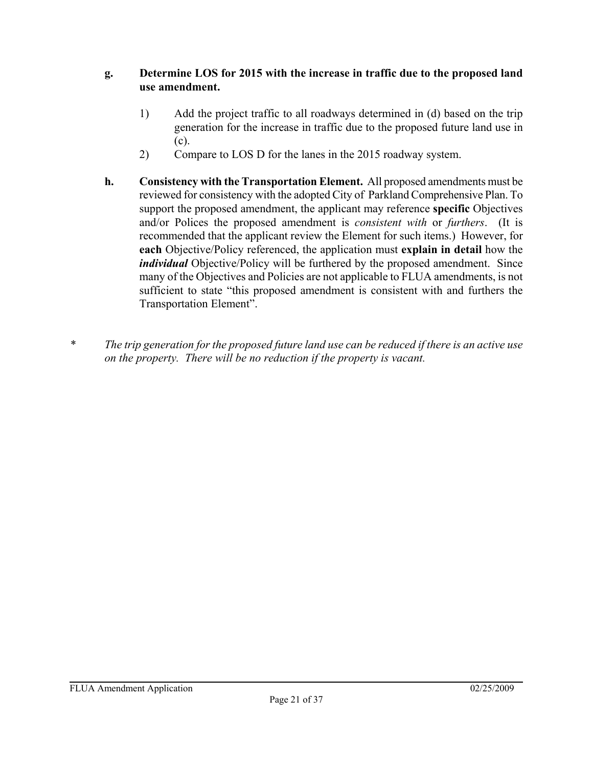### **g. Determine LOS for 2015 with the increase in traffic due to the proposed land use amendment.**

- 1) Add the project traffic to all roadways determined in (d) based on the trip generation for the increase in traffic due to the proposed future land use in (c).
- 2) Compare to LOS D for the lanes in the 2015 roadway system.
- **h. Consistency with the Transportation Element.** All proposed amendments must be reviewed for consistency with the adopted City of Parkland Comprehensive Plan. To support the proposed amendment, the applicant may reference **specific** Objectives and/or Polices the proposed amendment is *consistent with* or *furthers*. (It is recommended that the applicant review the Element for such items.) However, for **each** Objective/Policy referenced, the application must **explain in detail** how the *individual* Objective/Policy will be furthered by the proposed amendment. Since many of the Objectives and Policies are not applicable to FLUA amendments, is not sufficient to state "this proposed amendment is consistent with and furthers the Transportation Element".
- *\* The trip generation for the proposed future land use can be reduced if there is an active use on the property. There will be no reduction if the property is vacant.*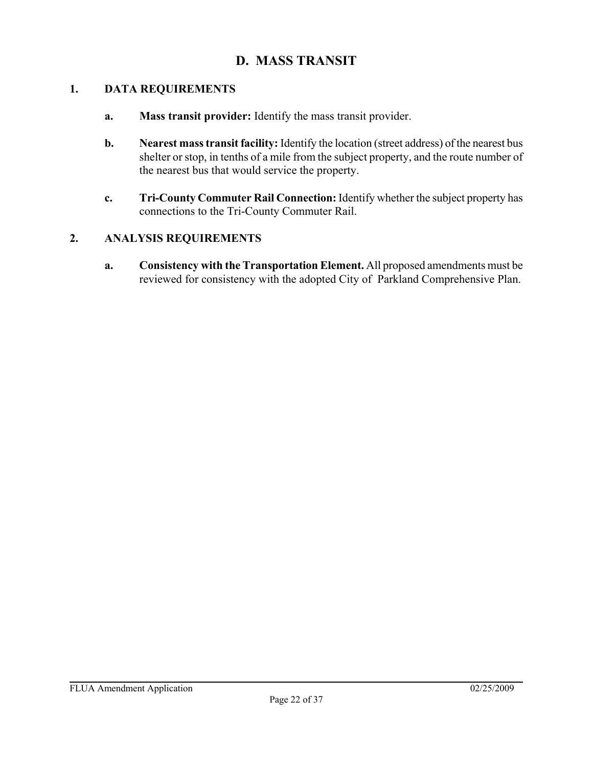## **D. MASS TRANSIT**

#### **1. DATA REQUIREMENTS**

- **a. Mass transit provider:** Identify the mass transit provider.
- **b. Nearest mass transit facility:** Identify the location (street address) of the nearest bus shelter or stop, in tenths of a mile from the subject property, and the route number of the nearest bus that would service the property.
- **c. Tri-County Commuter Rail Connection:** Identify whether the subject property has connections to the Tri-County Commuter Rail.

### **2. ANALYSIS REQUIREMENTS**

**a. Consistency with the Transportation Element.** All proposed amendments must be reviewed for consistency with the adopted City of Parkland Comprehensive Plan.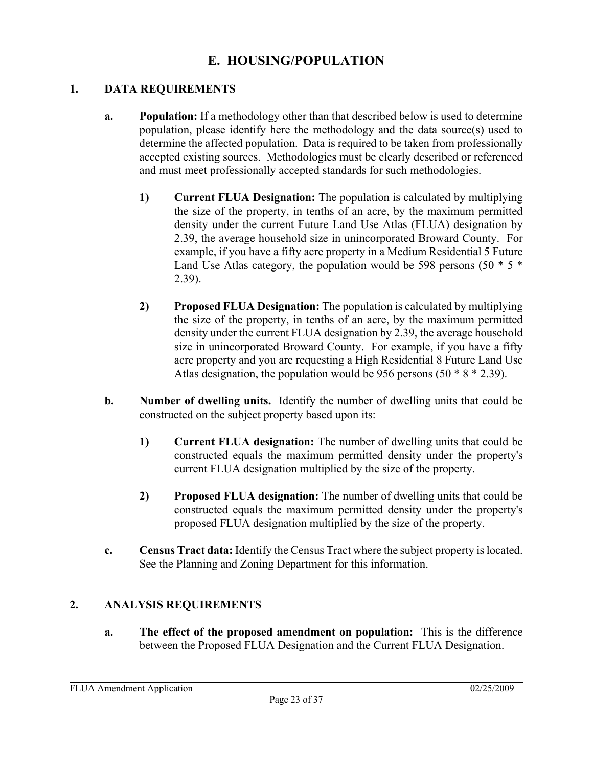## **E. HOUSING/POPULATION**

### **1. DATA REQUIREMENTS**

- **a. Population:** If a methodology other than that described below is used to determine population, please identify here the methodology and the data source(s) used to determine the affected population. Data is required to be taken from professionally accepted existing sources. Methodologies must be clearly described or referenced and must meet professionally accepted standards for such methodologies.
	- **1) Current FLUA Designation:** The population is calculated by multiplying the size of the property, in tenths of an acre, by the maximum permitted density under the current Future Land Use Atlas (FLUA) designation by 2.39, the average household size in unincorporated Broward County. For example, if you have a fifty acre property in a Medium Residential 5 Future Land Use Atlas category, the population would be 598 persons  $(50 * 5 *$ 2.39).
	- **2) Proposed FLUA Designation:** The population is calculated by multiplying the size of the property, in tenths of an acre, by the maximum permitted density under the current FLUA designation by 2.39, the average household size in unincorporated Broward County. For example, if you have a fifty acre property and you are requesting a High Residential 8 Future Land Use Atlas designation, the population would be 956 persons  $(50 * 8 * 2.39)$ .
- **b. Number of dwelling units.** Identify the number of dwelling units that could be constructed on the subject property based upon its:
	- **1) Current FLUA designation:** The number of dwelling units that could be constructed equals the maximum permitted density under the property's current FLUA designation multiplied by the size of the property.
	- **2) Proposed FLUA designation:** The number of dwelling units that could be constructed equals the maximum permitted density under the property's proposed FLUA designation multiplied by the size of the property.
- **c. Census Tract data:** Identify the Census Tract where the subject property is located. See the Planning and Zoning Department for this information.

### **2. ANALYSIS REQUIREMENTS**

**a. The effect of the proposed amendment on population:** This is the difference between the Proposed FLUA Designation and the Current FLUA Designation.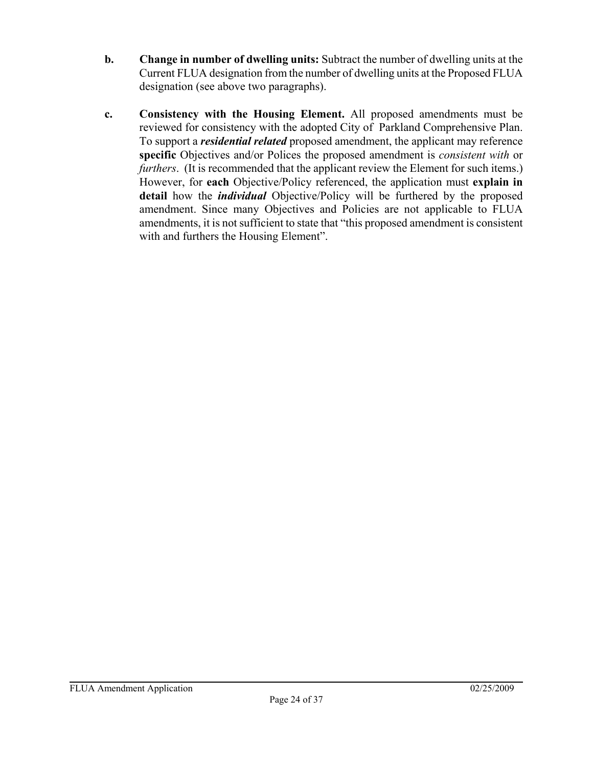- **b. Change in number of dwelling units:** Subtract the number of dwelling units at the Current FLUA designation from the number of dwelling units at the Proposed FLUA designation (see above two paragraphs).
- **c. Consistency with the Housing Element.** All proposed amendments must be reviewed for consistency with the adopted City of Parkland Comprehensive Plan. To support a *residential related* proposed amendment, the applicant may reference **specific** Objectives and/or Polices the proposed amendment is *consistent with* or *furthers*. (It is recommended that the applicant review the Element for such items.) However, for **each** Objective/Policy referenced, the application must **explain in detail** how the *individual* Objective/Policy will be furthered by the proposed amendment. Since many Objectives and Policies are not applicable to FLUA amendments, it is not sufficient to state that "this proposed amendment is consistent with and furthers the Housing Element".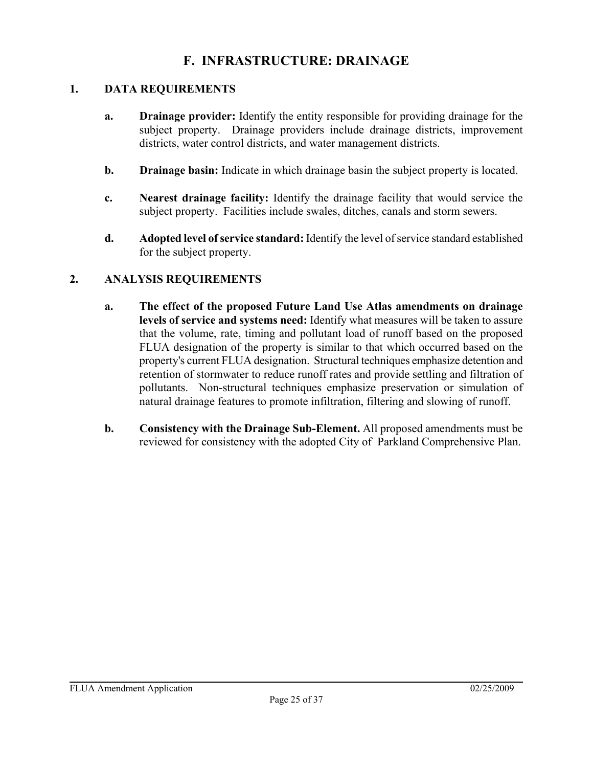## **F. INFRASTRUCTURE: DRAINAGE**

#### **1. DATA REQUIREMENTS**

- **a. Drainage provider:** Identify the entity responsible for providing drainage for the subject property. Drainage providers include drainage districts, improvement districts, water control districts, and water management districts.
- **b. Drainage basin:** Indicate in which drainage basin the subject property is located.
- **c. Nearest drainage facility:** Identify the drainage facility that would service the subject property. Facilities include swales, ditches, canals and storm sewers.
- **d. Adopted level of service standard:** Identify the level of service standard established for the subject property.

- **a. The effect of the proposed Future Land Use Atlas amendments on drainage levels of service and systems need:** Identify what measures will be taken to assure that the volume, rate, timing and pollutant load of runoff based on the proposed FLUA designation of the property is similar to that which occurred based on the property's current FLUA designation. Structural techniques emphasize detention and retention of stormwater to reduce runoff rates and provide settling and filtration of pollutants. Non-structural techniques emphasize preservation or simulation of natural drainage features to promote infiltration, filtering and slowing of runoff.
- **b. Consistency with the Drainage Sub-Element.** All proposed amendments must be reviewed for consistency with the adopted City of Parkland Comprehensive Plan.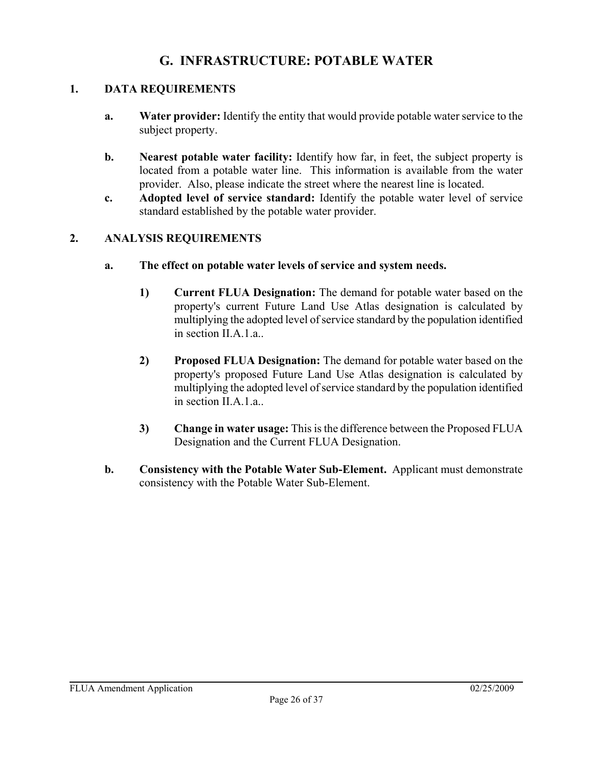## **G. INFRASTRUCTURE: POTABLE WATER**

### **1. DATA REQUIREMENTS**

- **a. Water provider:** Identify the entity that would provide potable water service to the subject property.
- **b.** Nearest potable water facility: Identify how far, in feet, the subject property is located from a potable water line. This information is available from the water provider. Also, please indicate the street where the nearest line is located.
- **c. Adopted level of service standard:** Identify the potable water level of service standard established by the potable water provider.

- **a. The effect on potable water levels of service and system needs.**
	- **1) Current FLUA Designation:** The demand for potable water based on the property's current Future Land Use Atlas designation is calculated by multiplying the adopted level of service standard by the population identified in section II.A.1.a..
	- **2) Proposed FLUA Designation:** The demand for potable water based on the property's proposed Future Land Use Atlas designation is calculated by multiplying the adopted level of service standard by the population identified in section II.A.1.a..
	- **3) Change in water usage:** This is the difference between the Proposed FLUA Designation and the Current FLUA Designation.
- **b. Consistency with the Potable Water Sub-Element.** Applicant must demonstrate consistency with the Potable Water Sub-Element.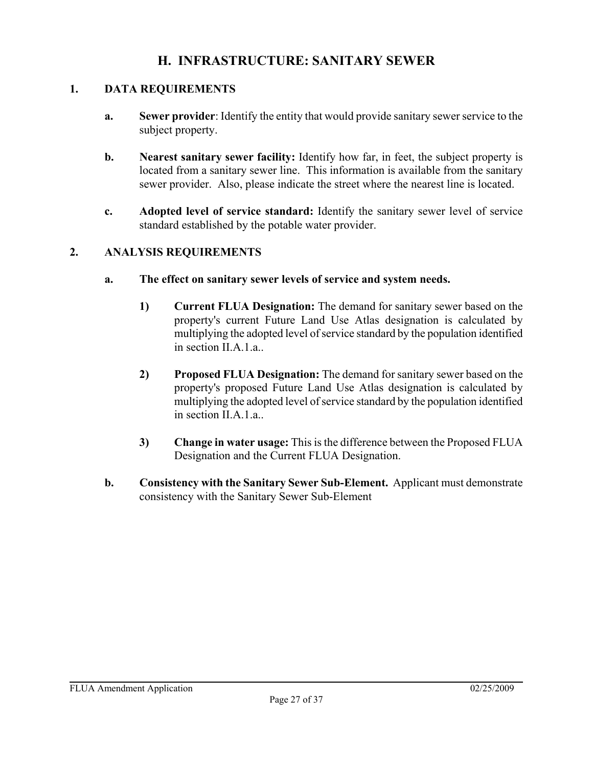## **H. INFRASTRUCTURE: SANITARY SEWER**

#### **1. DATA REQUIREMENTS**

- **a. Sewer provider**: Identify the entity that would provide sanitary sewer service to the subject property.
- **b.** Nearest sanitary sewer facility: Identify how far, in feet, the subject property is located from a sanitary sewer line. This information is available from the sanitary sewer provider. Also, please indicate the street where the nearest line is located.
- **c. Adopted level of service standard:** Identify the sanitary sewer level of service standard established by the potable water provider.

- **a. The effect on sanitary sewer levels of service and system needs.**
	- **1) Current FLUA Designation:** The demand for sanitary sewer based on the property's current Future Land Use Atlas designation is calculated by multiplying the adopted level of service standard by the population identified in section II.A.1.a..
	- **2) Proposed FLUA Designation:** The demand for sanitary sewer based on the property's proposed Future Land Use Atlas designation is calculated by multiplying the adopted level of service standard by the population identified in section II.A.1.a..
	- **3) Change in water usage:** This is the difference between the Proposed FLUA Designation and the Current FLUA Designation.
- **b. Consistency with the Sanitary Sewer Sub-Element.** Applicant must demonstrate consistency with the Sanitary Sewer Sub-Element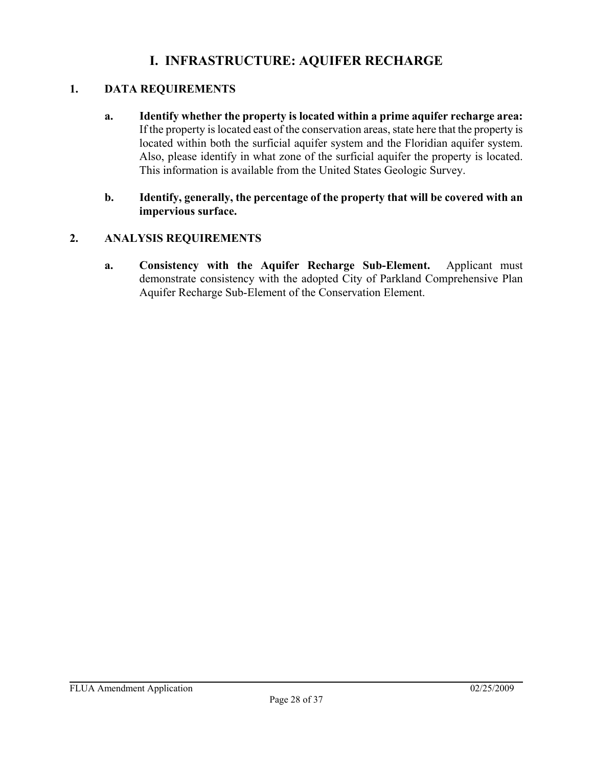## **I. INFRASTRUCTURE: AQUIFER RECHARGE**

### **1. DATA REQUIREMENTS**

**a. Identify whether the property is located within a prime aquifer recharge area:**  If the property is located east of the conservation areas, state here that the property is located within both the surficial aquifer system and the Floridian aquifer system. Also, please identify in what zone of the surficial aquifer the property is located. This information is available from the United States Geologic Survey.

#### **b. Identify, generally, the percentage of the property that will be covered with an impervious surface.**

### **2. ANALYSIS REQUIREMENTS**

**a. Consistency with the Aquifer Recharge Sub-Element.** Applicant must demonstrate consistency with the adopted City of Parkland Comprehensive Plan Aquifer Recharge Sub-Element of the Conservation Element.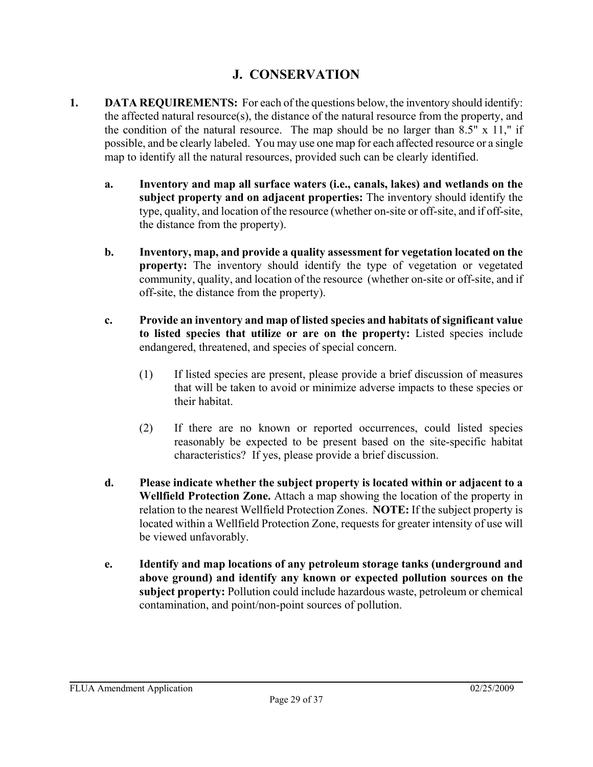## **J. CONSERVATION**

- **1. DATA REQUIREMENTS:** For each of the questions below, the inventory should identify: the affected natural resource(s), the distance of the natural resource from the property, and the condition of the natural resource. The map should be no larger than  $8.5"$  x 11," if possible, and be clearly labeled. You may use one map for each affected resource or a single map to identify all the natural resources, provided such can be clearly identified.
	- **a. Inventory and map all surface waters (i.e., canals, lakes) and wetlands on the subject property and on adjacent properties:** The inventory should identify the type, quality, and location of the resource (whether on-site or off-site, and if off-site, the distance from the property).
	- **b. Inventory, map, and provide a quality assessment for vegetation located on the property:** The inventory should identify the type of vegetation or vegetated community, quality, and location of the resource (whether on-site or off-site, and if off-site, the distance from the property).
	- **c. Provide an inventory and map of listed species and habitats of significant value to listed species that utilize or are on the property:** Listed species include endangered, threatened, and species of special concern.
		- (1) If listed species are present, please provide a brief discussion of measures that will be taken to avoid or minimize adverse impacts to these species or their habitat.
		- (2) If there are no known or reported occurrences, could listed species reasonably be expected to be present based on the site-specific habitat characteristics? If yes, please provide a brief discussion.
	- **d. Please indicate whether the subject property is located within or adjacent to a Wellfield Protection Zone.** Attach a map showing the location of the property in relation to the nearest Wellfield Protection Zones. **NOTE:** If the subject property is located within a Wellfield Protection Zone, requests for greater intensity of use will be viewed unfavorably.
	- **e. Identify and map locations of any petroleum storage tanks (underground and above ground) and identify any known or expected pollution sources on the subject property:** Pollution could include hazardous waste, petroleum or chemical contamination, and point/non-point sources of pollution.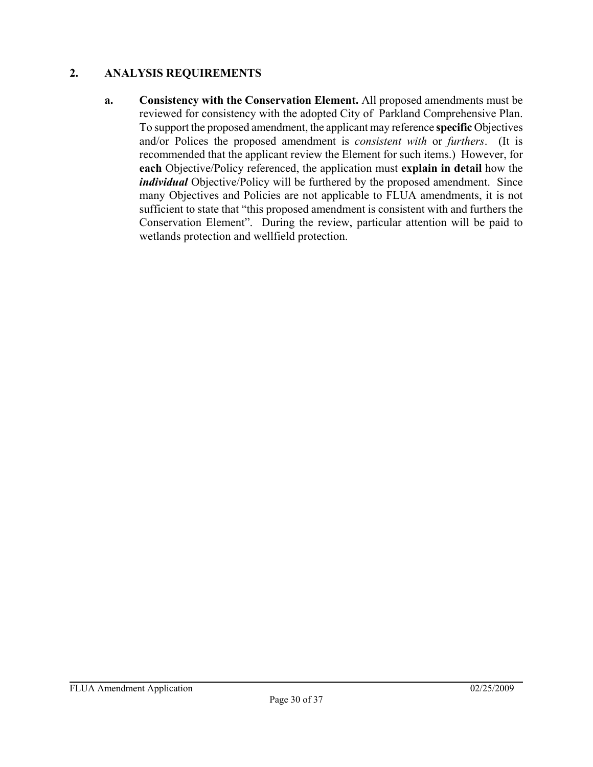### **2. ANALYSIS REQUIREMENTS**

**a. Consistency with the Conservation Element.** All proposed amendments must be reviewed for consistency with the adopted City of Parkland Comprehensive Plan. To support the proposed amendment, the applicant may reference **specific** Objectives and/or Polices the proposed amendment is *consistent with* or *furthers*. (It is recommended that the applicant review the Element for such items.) However, for **each** Objective/Policy referenced, the application must **explain in detail** how the *individual* Objective/Policy will be furthered by the proposed amendment. Since many Objectives and Policies are not applicable to FLUA amendments, it is not sufficient to state that "this proposed amendment is consistent with and furthers the Conservation Element". During the review, particular attention will be paid to wetlands protection and wellfield protection.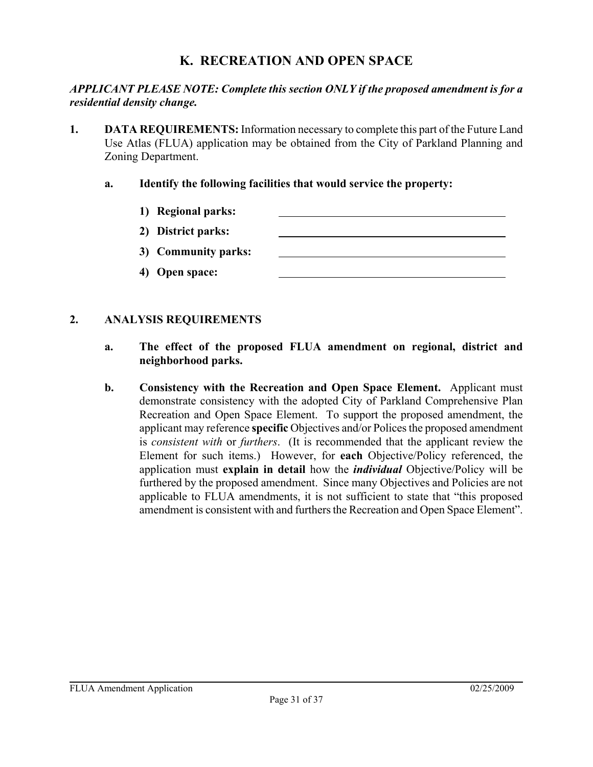## **K. RECREATION AND OPEN SPACE**

#### *APPLICANT PLEASE NOTE: Complete this section ONLY if the proposed amendment is for a residential density change.*

- **1. DATA REQUIREMENTS:** Information necessary to complete this part of the Future Land Use Atlas (FLUA) application may be obtained from the City of Parkland Planning and Zoning Department.
	- **a. Identify the following facilities that would service the property:**
		- **1) Regional parks: 2) District parks:**
			- **3) Community parks:**
			- **4) Open space:**

- **a. The effect of the proposed FLUA amendment on regional, district and neighborhood parks.**
- **b. Consistency with the Recreation and Open Space Element.** Applicant must demonstrate consistency with the adopted City of Parkland Comprehensive Plan Recreation and Open Space Element. To support the proposed amendment, the applicant may reference **specific** Objectives and/or Polices the proposed amendment is *consistent with* or *furthers*. (It is recommended that the applicant review the Element for such items.) However, for **each** Objective/Policy referenced, the application must **explain in detail** how the *individual* Objective/Policy will be furthered by the proposed amendment. Since many Objectives and Policies are not applicable to FLUA amendments, it is not sufficient to state that "this proposed amendment is consistent with and furthers the Recreation and Open Space Element".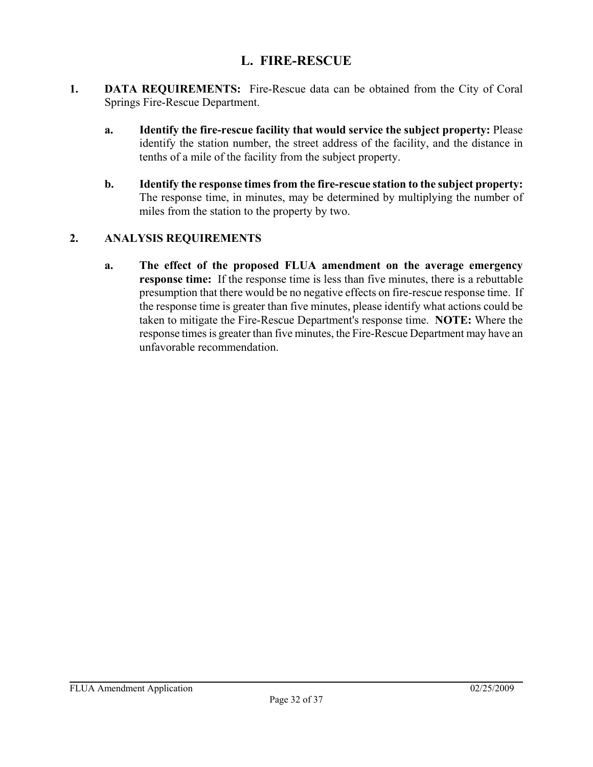## **L. FIRE-RESCUE**

- **1. DATA REQUIREMENTS:** Fire-Rescue data can be obtained from the City of Coral Springs Fire-Rescue Department.
	- **a. Identify the fire-rescue facility that would service the subject property:** Please identify the station number, the street address of the facility, and the distance in tenths of a mile of the facility from the subject property.
	- **b. Identify the response times from the fire-rescue station to the subject property:** The response time, in minutes, may be determined by multiplying the number of miles from the station to the property by two.

### **2. ANALYSIS REQUIREMENTS**

**a. The effect of the proposed FLUA amendment on the average emergency response time:** If the response time is less than five minutes, there is a rebuttable presumption that there would be no negative effects on fire-rescue response time. If the response time is greater than five minutes, please identify what actions could be taken to mitigate the Fire-Rescue Department's response time. **NOTE:** Where the response times is greater than five minutes, the Fire-Rescue Department may have an unfavorable recommendation.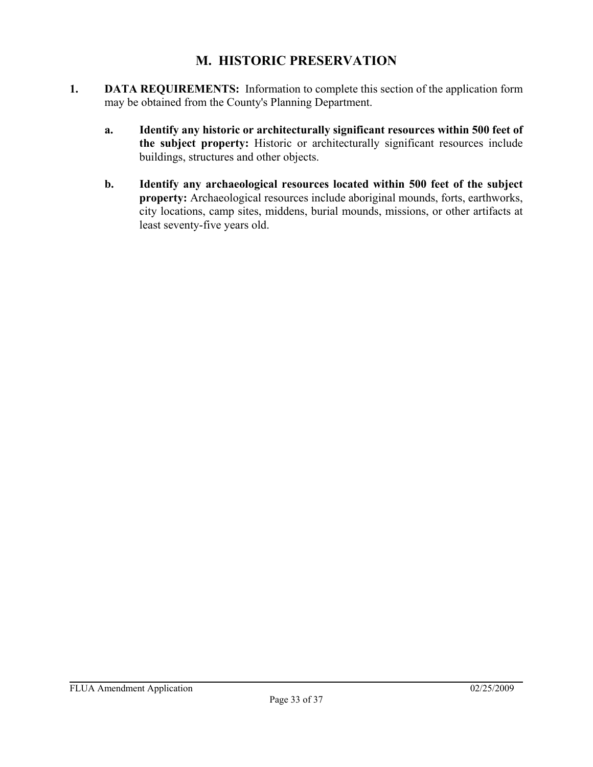## **M. HISTORIC PRESERVATION**

- **1. DATA REQUIREMENTS:** Information to complete this section of the application form may be obtained from the County's Planning Department.
	- **a. Identify any historic or architecturally significant resources within 500 feet of the subject property:** Historic or architecturally significant resources include buildings, structures and other objects.
	- **b. Identify any archaeological resources located within 500 feet of the subject property:** Archaeological resources include aboriginal mounds, forts, earthworks, city locations, camp sites, middens, burial mounds, missions, or other artifacts at least seventy-five years old.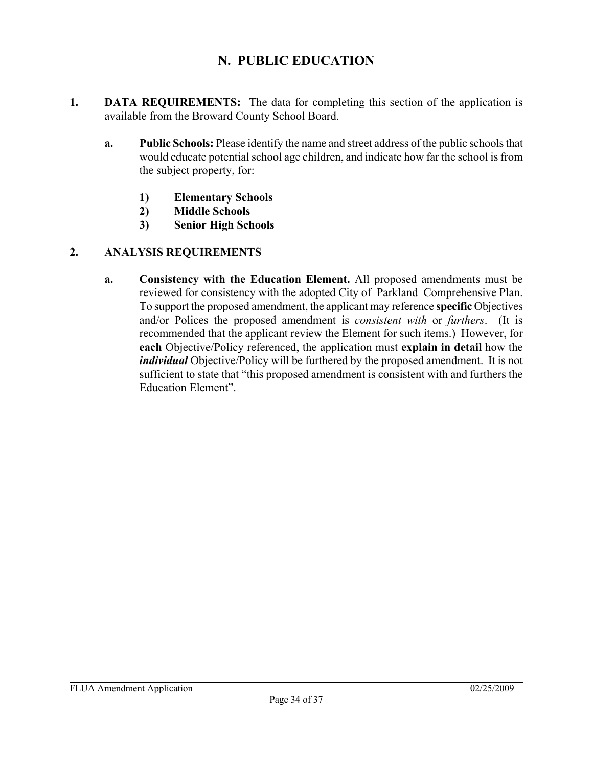## **N. PUBLIC EDUCATION**

- **1. DATA REQUIREMENTS:** The data for completing this section of the application is available from the Broward County School Board.
	- **a. Public Schools:** Please identify the name and street address of the public schools that would educate potential school age children, and indicate how far the school is from the subject property, for:
		- **1) Elementary Schools**
		- **2) Middle Schools**
		- **3) Senior High Schools**

### **2. ANALYSIS REQUIREMENTS**

**a. Consistency with the Education Element.** All proposed amendments must be reviewed for consistency with the adopted City of Parkland Comprehensive Plan. To support the proposed amendment, the applicant may reference **specific** Objectives and/or Polices the proposed amendment is *consistent with* or *furthers*. (It is recommended that the applicant review the Element for such items.) However, for **each** Objective/Policy referenced, the application must **explain in detail** how the *individual* Objective/Policy will be furthered by the proposed amendment. It is not sufficient to state that "this proposed amendment is consistent with and furthers the Education Element".